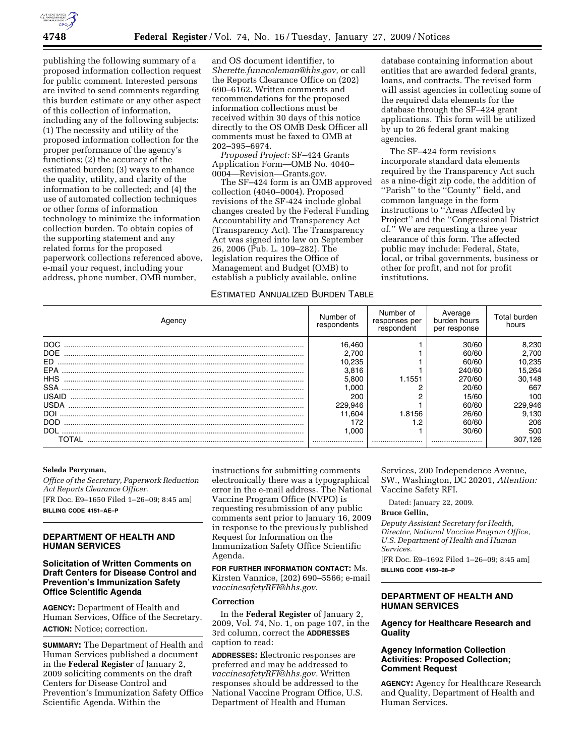

publishing the following summary of a proposed information collection request for public comment. Interested persons are invited to send comments regarding this burden estimate or any other aspect of this collection of information, including any of the following subjects: (1) The necessity and utility of the proposed information collection for the proper performance of the agency's functions; (2) the accuracy of the estimated burden; (3) ways to enhance the quality, utility, and clarity of the information to be collected; and (4) the use of automated collection techniques or other forms of information technology to minimize the information collection burden. To obtain copies of the supporting statement and any related forms for the proposed paperwork collections referenced above, e-mail your request, including your address, phone number, OMB number,

and OS document identifier, to *Sherette.funncoleman@hhs.gov,* or call the Reports Clearance Office on (202) 690–6162. Written comments and recommendations for the proposed information collections must be received within 30 days of this notice directly to the OS OMB Desk Officer all comments must be faxed to OMB at 202–395–6974.

*Proposed Project:* SF–424 Grants Application Form—OMB No. 4040– 0004—Revision—Grants.gov.

The SF–424 form is an OMB approved collection (4040–0004). Proposed revisions of the SF-424 include global changes created by the Federal Funding Accountability and Transparency Act (Transparency Act). The Transparency Act was signed into law on September 26, 2006 (Pub. L. 109–282). The legislation requires the Office of Management and Budget (OMB) to establish a publicly available, online

# ESTIMATED ANNUALIZED BURDEN TABLE

database containing information about entities that are awarded federal grants, loans, and contracts. The revised form will assist agencies in collecting some of the required data elements for the database through the SF–424 grant applications. This form will be utilized by up to 26 federal grant making agencies.

The SF–424 form revisions incorporate standard data elements required by the Transparency Act such as a nine-digit zip code, the addition of ''Parish'' to the ''County'' field, and common language in the form instructions to ''Areas Affected by Project'' and the ''Congressional District of.'' We are requesting a three year clearance of this form. The affected public may include: Federal, State, local, or tribal governments, business or other for profit, and not for profit institutions.

| Agency     | Number of<br>respondents | Number of<br>responses per<br>respondent | Average<br>burden hours<br>per response | Total burden<br>hours |
|------------|--------------------------|------------------------------------------|-----------------------------------------|-----------------------|
| DOC.       | 16.460                   |                                          | 30/60                                   | 8,230                 |
| <b>DOE</b> | 2.700                    |                                          | 60/60                                   | 2,700                 |
| ED.        | 10.235                   |                                          | 60/60                                   | 10,235                |
| EPA        | 3.816                    |                                          | 240/60                                  | 15,264                |
| <b>HHS</b> | 5.800                    | 1.1551                                   | 270/60                                  | 30,148                |
| <b>SSA</b> | .000                     |                                          | 20/60                                   | 667                   |
| USAID      | 200                      |                                          | 15/60                                   | 100                   |
| USDA       | 229.946                  |                                          | 60/60                                   | 229,946               |
| <b>DOI</b> | 11.604                   | 1.8156                                   | 26/60                                   | 9.130                 |
| <b>DOD</b> | 172                      | .2                                       | 60/60                                   | 206                   |
| DOL        | .000                     |                                          | 30/60                                   | 500                   |
| TOTAI      |                          |                                          |                                         | 307.126               |

### **Seleda Perryman,**

*Office of the Secretary, Paperwork Reduction Act Reports Clearance Officer.*  [FR Doc. E9–1650 Filed 1–26–09; 8:45 am] **BILLING CODE 4151–AE–P** 

# **DEPARTMENT OF HEALTH AND HUMAN SERVICES**

## **Solicitation of Written Comments on Draft Centers for Disease Control and Prevention's Immunization Safety Office Scientific Agenda**

**AGENCY:** Department of Health and Human Services, Office of the Secretary. **ACTION:** Notice; correction.

**SUMMARY:** The Department of Health and Human Services published a document in the **Federal Register** of January 2, 2009 soliciting comments on the draft Centers for Disease Control and Prevention's Immunization Safety Office Scientific Agenda. Within the

instructions for submitting comments electronically there was a typographical error in the e-mail address. The National Vaccine Program Office (NVPO) is requesting resubmission of any public comments sent prior to January 16, 2009 in response to the previously published Request for Information on the Immunization Safety Office Scientific Agenda.

**FOR FURTHER INFORMATION CONTACT:** Ms. Kirsten Vannice, (202) 690–5566; e-mail *vaccinesafetyRFI@hhs.gov*.

### **Correction**

In the **Federal Register** of January 2, 2009, Vol. 74, No. 1, on page 107, in the 3rd column, correct the **ADDRESSES** caption to read:

**ADDRESSES:** Electronic responses are preferred and may be addressed to *vaccinesafetyRFI@hhs.gov.* Written responses should be addressed to the National Vaccine Program Office, U.S. Department of Health and Human

Services, 200 Independence Avenue, SW., Washington, DC 20201, *Attention:*  Vaccine Safety RFI.

Dated: January 22, 2009.

### **Bruce Gellin,**

*Deputy Assistant Secretary for Health, Director, National Vaccine Program Office, U.S. Department of Health and Human Services.* 

[FR Doc. E9–1692 Filed 1–26–09; 8:45 am] **BILLING CODE 4150–28–P** 

## **DEPARTMENT OF HEALTH AND HUMAN SERVICES**

## **Agency for Healthcare Research and Quality**

## **Agency Information Collection Activities: Proposed Collection; Comment Request**

**AGENCY:** Agency for Healthcare Research and Quality, Department of Health and Human Services.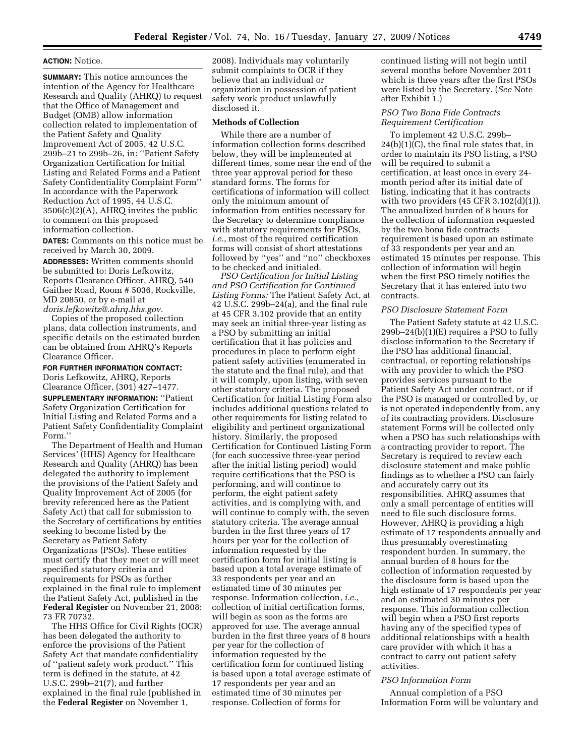### **ACTION:** Notice.

**SUMMARY:** This notice announces the intention of the Agency for Healthcare Research and Quality (AHRQ) to request that the Office of Management and Budget (OMB) allow information collection related to implementation of the Patient Safety and Quality Improvement Act of 2005, 42 U.S.C. 299b–21 to 299b–26, in: ''Patient Safety Organization Certification for Initial Listing and Related Forms and a Patient Safety Confidentiality Complaint Form'' In accordance with the Paperwork Reduction Act of 1995, 44 U.S.C. 3506(c)(2)(A), AHRQ invites the public to comment on this proposed information collection.

**DATES:** Comments on this notice must be received by March 30, 2009.

**ADDRESSES:** Written comments should be submitted to: Doris Lefkowitz, Reports Clearance Officer, AHRQ, 540 Gaither Road, Room # 5036, Rockville, MD 20850, or by e-mail at *doris.lefkowitz@.ahrq.hhs.gov.* 

Copies of the proposed collection plans, data collection instruments, and specific details on the estimated burden can be obtained from AHRQ's Reports Clearance Officer.

# **FOR FURTHER INFORMATION CONTACT:**  Doris Lefkowitz, AHRQ, Reports

Clearance Officer, (301) 427–1477.

**SUPPLEMENTARY INFORMATION:** ''Patient Safety Organization Certification for Initial Listing and Related Forms and a Patient Safety Confidentiality Complaint Form.''

The Department of Health and Human Services' (HHS) Agency for Healthcare Research and Quality (AHRQ) has been delegated the authority to implement the provisions of the Patient Safety and Quality Improvement Act of 2005 (for brevity referenced here as the Patient Safety Act) that call for submission to the Secretary of certifications by entities seeking to become listed by the Secretary as Patient Safety Organizations (PSOs). These entities must certify that they meet or will meet specified statutory criteria and requirements for PSOs as further explained in the final rule to implement the Patient Safety Act, published in the **Federal Register** on November 21, 2008: 73 FR 70732.

The HHS Office for Civil Rights (OCR) has been delegated the authority to enforce the provisions of the Patient Safety Act that mandate confidentiality of ''patient safety work product.'' This term is defined in the statute, at 42 U.S.C. 299b–21(7), and further explained in the final rule (published in the **Federal Register** on November 1,

2008). Individuals may voluntarily submit complaints to OCR if they believe that an individual or organization in possession of patient safety work product unlawfully disclosed it.

#### **Methods of Collection**

While there are a number of information collection forms described below, they will be implemented at different times, some near the end of the three year approval period for these standard forms. The forms for certifications of information will collect only the minimum amount of information from entities necessary for the Secretary to determine compliance with statutory requirements for PSOs, *i.e.*, most of the required certification forms will consist of short attestations followed by ''yes'' and ''no'' checkboxes to be checked and initialed.

*PSO Certification for Initial Listing and PSO Certification for Continued Listing Forms:* The Patient Safety Act, at 42 U.S.C. 299b–24(a), and the final rule at 45 CFR 3.102 provide that an entity may seek an initial three-year listing as a PSO by submitting an initial certification that it has policies and procedures in place to perform eight patient safety activities (enumerated in the statute and the final rule), and that it will comply, upon listing, with seven other statutory criteria. The proposed Certification for Initial Listing Form also includes additional questions related to other requirements for listing related to eligibility and pertinent organizational history. Similarly, the proposed Certification for Continued Listing Form (for each successive three-year period after the initial listing period) would require certifications that the PSO is performing, and will continue to perform, the eight patient safety activities, and is complying with, and will continue to comply with, the seven statutory criteria. The average annual burden in the first three years of 17 hours per year for the collection of information requested by the certification form for initial listing is based upon a total average estimate of 33 respondents per year and an estimated time of 30 minutes per response. Information collection, *i.e.*, collection of initial certification forms, will begin as soon as the forms are approved for use. The average annual burden in the first three years of 8 hours per year for the collection of information requested by the certification form for continued listing is based upon a total average estimate of 17 respondents per year and an estimated time of 30 minutes per response. Collection of forms for

continued listing will not begin until several months before November 2011 which is three years after the first PSOs were listed by the Secretary. (*See* Note after Exhibit 1.)

### *PSO Two Bona Fide Contracts Requirement Certification*

To implement 42 U.S.C. 299b– 24(b)(1)(C), the final rule states that, in order to maintain its PSO listing, a PSO will be required to submit a certification, at least once in every 24 month period after its initial date of listing, indicating that it has contracts with two providers  $(45 \text{ CFR } 3.102\text{ (d)}(1))$ . The annualized burden of 8 hours for the collection of information requested by the two bona fide contracts requirement is based upon an estimate of 33 respondents per year and an estimated 15 minutes per response. This collection of information will begin when the first PSO timely notifies the Secretary that it has entered into two contracts.

### *PSO Disclosure Statement Form*

The Patient Safety statute at 42 U.S.C.  $299b-24(b)(1)(E)$  requires a PSO to fully disclose information to the Secretary if the PSO has additional financial, contractual, or reporting relationships with any provider to which the PSO provides services pursuant to the Patient Safety Act under contract, or if the PSO is managed or controlled by, or is not operated independently from, any of its contracting providers. Disclosure statement Forms will be collected only when a PSO has such relationships with a contracting provider to report. The Secretary is required to review each disclosure statement and make public findings as to whether a PSO can fairly and accurately carry out its responsibilities. AHRQ assumes that only a small percentage of entities will need to file such disclosure forms. However, AHRQ is providing a high estimate of 17 respondents annually and thus presumably overestimating respondent burden. In summary, the annual burden of 8 hours for the collection of information requested by the disclosure form is based upon the high estimate of 17 respondents per year and an estimated 30 minutes per response. This information collection will begin when a PSO first reports having any of the specified types of additional relationships with a health care provider with which it has a contract to carry out patient safety activities.

#### *PSO Information Form*

Annual completion of a PSO Information Form will be voluntary and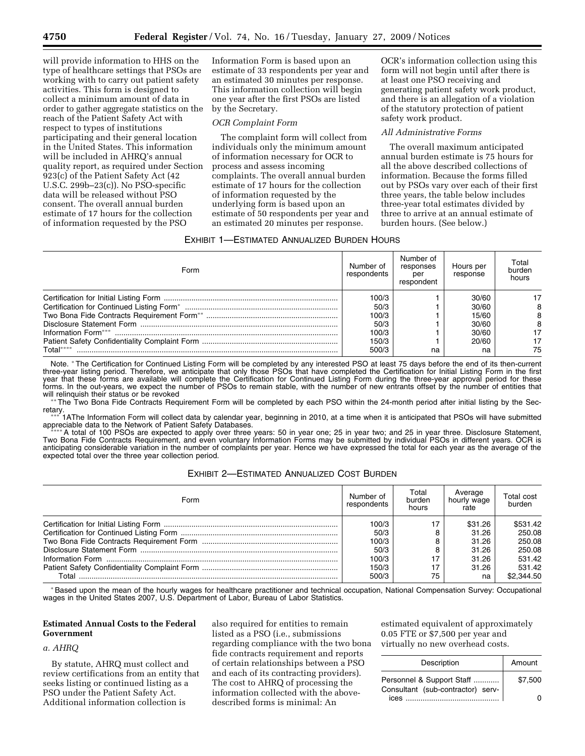will provide information to HHS on the type of healthcare settings that PSOs are working with to carry out patient safety activities. This form is designed to collect a minimum amount of data in order to gather aggregate statistics on the reach of the Patient Safety Act with respect to types of institutions participating and their general location in the United States. This information will be included in AHRQ's annual quality report, as required under Section 923(c) of the Patient Safety Act (42 U.S.C. 299b–23(c)). No PSO-specific data will be released without PSO consent. The overall annual burden estimate of 17 hours for the collection of information requested by the PSO

Information Form is based upon an estimate of 33 respondents per year and an estimated 30 minutes per response. This information collection will begin one year after the first PSOs are listed by the Secretary.

### *OCR Complaint Form*

The complaint form will collect from individuals only the minimum amount of information necessary for OCR to process and assess incoming complaints. The overall annual burden estimate of 17 hours for the collection of information requested by the underlying form is based upon an estimate of 50 respondents per year and an estimated 20 minutes per response.

OCR's information collection using this form will not begin until after there is at least one PSO receiving and generating patient safety work product, and there is an allegation of a violation of the statutory protection of patient safety work product.

### *All Administrative Forms*

The overall maximum anticipated annual burden estimate is 75 hours for all the above described collections of information. Because the forms filled out by PSOs vary over each of their first three years, the table below includes three-year total estimates divided by three to arrive at an annual estimate of burden hours. (See below.)

## EXHIBIT 1—ESTIMATED ANNUALIZED BURDEN HOURS

| Form      | Number of<br>respondents | Number of<br>responses<br>per<br>respondent | Hours per<br>response | Total<br>burden<br>hours |
|-----------|--------------------------|---------------------------------------------|-----------------------|--------------------------|
|           | 100/3                    |                                             | 30/60                 |                          |
|           | 50/3                     |                                             | 30/60                 |                          |
|           | 100/3                    |                                             | 15/60                 |                          |
|           | 50/3                     |                                             | 30/60                 |                          |
|           | 100/3                    |                                             | 30/60                 |                          |
|           | 150/3                    |                                             | 20/60                 |                          |
| Total**** | 500/3                    | na                                          | na                    | 75                       |

Note. \*The Certification for Continued Listing Form will be completed by any interested PSO at least 75 days before the end of its then-current three-year listing period. Therefore, we anticipate that only those PSOs that have completed the Certification for Initial Listing Form in the first year that these forms are available will complete the Certification for Continued Listing Form during the three-year approval period for these forms. In the out-years, we expect the number of PSOs to remain stable, with the number of new entrants offset by the number of entities that will relinquish their status or be revoked

\*The Two Bona Fide Contracts Requirement Form will be completed by each PSO within the 24-month period after initial listing by the Sec-

retary.<br>\*\*\* 1AThe Information Form will collect data by calendar year, beginning in 2010, at a time when it is anticipated that PSOs will have submitted<br>appreciable data to the Network of Patient Safety Databases.

A total of 100 PSOs are expected to apply over three years: 50 in year one; 25 in year two; and 25 in year three. Disclosure Statement, Two Bona Fide Contracts Requirement, and even voluntary Information Forms may be submitted by individual PSOs in different years. OCR is anticipating considerable variation in the number of complaints per year. Hence we have expressed the total for each year as the average of the expected total over the three year collection period.

# EXHIBIT 2—ESTIMATED ANNUALIZED COST BURDEN

| Form  | Number of<br>respondents | Total<br>burden<br>hours | Average<br>hourly wage<br>rate | Total cost<br>burden |
|-------|--------------------------|--------------------------|--------------------------------|----------------------|
|       | 100/3                    |                          | \$31.26                        | \$531.42             |
|       | 50/3                     |                          | 31.26                          | 250.08               |
|       | 100/3                    |                          | 31.26                          | 250.08               |
|       | 50/3                     |                          | 31.26                          | 250.08               |
|       | 100/3                    |                          | 31.26                          | 531.42               |
|       | 150/3                    |                          | 31.26                          | 531.42               |
| Total | 500/3                    | 75                       | na                             | \$2,344.50           |

\*Based upon the mean of the hourly wages for healthcare practitioner and technical occupation, National Compensation Survey: Occupational wages in the United States 2007, U.S. Department of Labor, Bureau of Labor Statistics.

## **Estimated Annual Costs to the Federal Government**

## *a. AHRQ*

By statute, AHRQ must collect and review certifications from an entity that seeks listing or continued listing as a PSO under the Patient Safety Act. Additional information collection is

also required for entities to remain listed as a PSO (i.e., submissions regarding compliance with the two bona fide contracts requirement and reports of certain relationships between a PSO and each of its contracting providers). The cost to AHRQ of processing the information collected with the abovedescribed forms is minimal: An

estimated equivalent of approximately 0.05 FTE or \$7,500 per year and virtually no new overhead costs.

| Description                               | Amount  |
|-------------------------------------------|---------|
| Personnel & Support Staff                 | \$7.500 |
| Consultant (sub-contractor) serv-<br>ices |         |